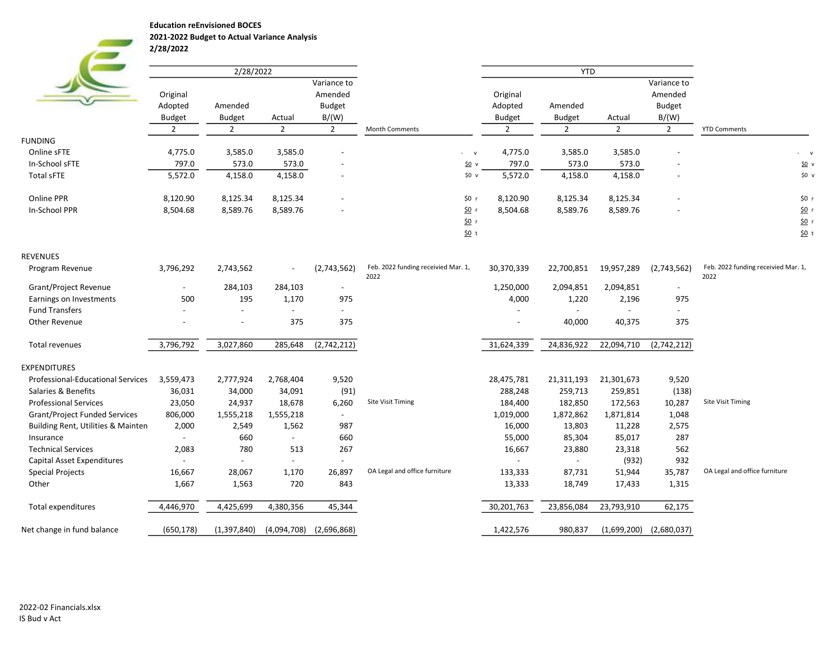Education reEnvisioned BOCES

2021-2022 Budget to Actual Variance Analysis 2/28/2022

| Variance to<br>Variance to<br>Original<br>Amended<br>Original<br>Amended<br><b>Budget</b><br>Adopted<br>Amended<br>Adopted<br>Amended<br><b>Budget</b><br>B/(W)<br>B/(W)<br><b>Budget</b><br><b>Budget</b><br><b>Budget</b><br><b>Budget</b><br>Actual<br>Actual<br>$\overline{2}$<br>$\overline{2}$<br>$\overline{2}$<br>$\overline{2}$<br>$\overline{2}$<br>$\overline{2}$<br>$\overline{2}$<br>2<br>Month Comments<br><b>FUNDING</b><br>4,775.0<br>3,585.0<br>4,775.0<br>Online sFTE<br>3,585.0<br>3,585.0<br>3,585.0<br>$-$ v<br>797.0<br>573.0<br>573.0<br>797.0<br>573.0<br>573.0<br>In-School sFTE<br>50v<br>5,572.0<br>4,158.0<br>5,572.0<br>4,158.0<br>4,158.0<br><b>Total sFTE</b><br>4,158.0<br>\$0 v<br>$\overline{\phantom{a}}$<br>8,125.34<br>8,125.34<br>8,120.90<br>8,125.34<br>Online PPR<br>8,120.90<br>\$0 r<br>8,125.34<br>In-School PPR<br>8,504.68<br>8,589.76<br>8,589.76<br>8,504.68<br>8,589.76<br>8,589.76<br>\$0 r<br>50r<br>$50$ t<br><b>REVENUES</b><br>Feb. 2022 funding receivied Mar. 1,<br>3,796,292<br>2,743,562<br>(2,743,562)<br>19,957,289<br>30,370,339<br>22,700,851<br>(2,743,562)<br>Program Revenue<br>2022<br>2022<br>2,094,851<br>Grant/Project Revenue<br>284,103<br>284,103<br>1,250,000<br>2,094,851<br>$\overline{a}$<br>$\overline{\phantom{a}}$<br>500<br>195<br>1,170<br>975<br>4,000<br>1,220<br>2,196<br>975<br>Earnings on Investments<br><b>Fund Transfers</b><br>$\overline{a}$<br>$\overline{a}$<br>$\overline{a}$<br>$\overline{a}$<br>$\overline{a}$<br>$\overline{a}$<br>375<br><b>Other Revenue</b><br>375<br>40,000<br>40,375<br>375<br>$\overline{\phantom{a}}$<br>3,796,792<br>31,624,339<br>24,836,922<br>22,094,710<br>Total revenues<br>3,027,860<br>285,648<br>(2,742,212)<br>(2,742,212) | <b>YTD Comments</b>                 |
|---------------------------------------------------------------------------------------------------------------------------------------------------------------------------------------------------------------------------------------------------------------------------------------------------------------------------------------------------------------------------------------------------------------------------------------------------------------------------------------------------------------------------------------------------------------------------------------------------------------------------------------------------------------------------------------------------------------------------------------------------------------------------------------------------------------------------------------------------------------------------------------------------------------------------------------------------------------------------------------------------------------------------------------------------------------------------------------------------------------------------------------------------------------------------------------------------------------------------------------------------------------------------------------------------------------------------------------------------------------------------------------------------------------------------------------------------------------------------------------------------------------------------------------------------------------------------------------------------------------------------------------------------------------------------------------------------------------------------------------------------------------|-------------------------------------|
|                                                                                                                                                                                                                                                                                                                                                                                                                                                                                                                                                                                                                                                                                                                                                                                                                                                                                                                                                                                                                                                                                                                                                                                                                                                                                                                                                                                                                                                                                                                                                                                                                                                                                                                                                               |                                     |
|                                                                                                                                                                                                                                                                                                                                                                                                                                                                                                                                                                                                                                                                                                                                                                                                                                                                                                                                                                                                                                                                                                                                                                                                                                                                                                                                                                                                                                                                                                                                                                                                                                                                                                                                                               |                                     |
|                                                                                                                                                                                                                                                                                                                                                                                                                                                                                                                                                                                                                                                                                                                                                                                                                                                                                                                                                                                                                                                                                                                                                                                                                                                                                                                                                                                                                                                                                                                                                                                                                                                                                                                                                               |                                     |
|                                                                                                                                                                                                                                                                                                                                                                                                                                                                                                                                                                                                                                                                                                                                                                                                                                                                                                                                                                                                                                                                                                                                                                                                                                                                                                                                                                                                                                                                                                                                                                                                                                                                                                                                                               |                                     |
|                                                                                                                                                                                                                                                                                                                                                                                                                                                                                                                                                                                                                                                                                                                                                                                                                                                                                                                                                                                                                                                                                                                                                                                                                                                                                                                                                                                                                                                                                                                                                                                                                                                                                                                                                               |                                     |
|                                                                                                                                                                                                                                                                                                                                                                                                                                                                                                                                                                                                                                                                                                                                                                                                                                                                                                                                                                                                                                                                                                                                                                                                                                                                                                                                                                                                                                                                                                                                                                                                                                                                                                                                                               |                                     |
|                                                                                                                                                                                                                                                                                                                                                                                                                                                                                                                                                                                                                                                                                                                                                                                                                                                                                                                                                                                                                                                                                                                                                                                                                                                                                                                                                                                                                                                                                                                                                                                                                                                                                                                                                               | $-$ v                               |
|                                                                                                                                                                                                                                                                                                                                                                                                                                                                                                                                                                                                                                                                                                                                                                                                                                                                                                                                                                                                                                                                                                                                                                                                                                                                                                                                                                                                                                                                                                                                                                                                                                                                                                                                                               | 50v                                 |
|                                                                                                                                                                                                                                                                                                                                                                                                                                                                                                                                                                                                                                                                                                                                                                                                                                                                                                                                                                                                                                                                                                                                                                                                                                                                                                                                                                                                                                                                                                                                                                                                                                                                                                                                                               | \$0 v                               |
|                                                                                                                                                                                                                                                                                                                                                                                                                                                                                                                                                                                                                                                                                                                                                                                                                                                                                                                                                                                                                                                                                                                                                                                                                                                                                                                                                                                                                                                                                                                                                                                                                                                                                                                                                               | \$0 r                               |
|                                                                                                                                                                                                                                                                                                                                                                                                                                                                                                                                                                                                                                                                                                                                                                                                                                                                                                                                                                                                                                                                                                                                                                                                                                                                                                                                                                                                                                                                                                                                                                                                                                                                                                                                                               | 50r                                 |
|                                                                                                                                                                                                                                                                                                                                                                                                                                                                                                                                                                                                                                                                                                                                                                                                                                                                                                                                                                                                                                                                                                                                                                                                                                                                                                                                                                                                                                                                                                                                                                                                                                                                                                                                                               | 50r                                 |
|                                                                                                                                                                                                                                                                                                                                                                                                                                                                                                                                                                                                                                                                                                                                                                                                                                                                                                                                                                                                                                                                                                                                                                                                                                                                                                                                                                                                                                                                                                                                                                                                                                                                                                                                                               | $50$ t                              |
|                                                                                                                                                                                                                                                                                                                                                                                                                                                                                                                                                                                                                                                                                                                                                                                                                                                                                                                                                                                                                                                                                                                                                                                                                                                                                                                                                                                                                                                                                                                                                                                                                                                                                                                                                               |                                     |
|                                                                                                                                                                                                                                                                                                                                                                                                                                                                                                                                                                                                                                                                                                                                                                                                                                                                                                                                                                                                                                                                                                                                                                                                                                                                                                                                                                                                                                                                                                                                                                                                                                                                                                                                                               | Feb. 2022 funding receivied Mar. 1, |
|                                                                                                                                                                                                                                                                                                                                                                                                                                                                                                                                                                                                                                                                                                                                                                                                                                                                                                                                                                                                                                                                                                                                                                                                                                                                                                                                                                                                                                                                                                                                                                                                                                                                                                                                                               |                                     |
|                                                                                                                                                                                                                                                                                                                                                                                                                                                                                                                                                                                                                                                                                                                                                                                                                                                                                                                                                                                                                                                                                                                                                                                                                                                                                                                                                                                                                                                                                                                                                                                                                                                                                                                                                               |                                     |
|                                                                                                                                                                                                                                                                                                                                                                                                                                                                                                                                                                                                                                                                                                                                                                                                                                                                                                                                                                                                                                                                                                                                                                                                                                                                                                                                                                                                                                                                                                                                                                                                                                                                                                                                                               |                                     |
|                                                                                                                                                                                                                                                                                                                                                                                                                                                                                                                                                                                                                                                                                                                                                                                                                                                                                                                                                                                                                                                                                                                                                                                                                                                                                                                                                                                                                                                                                                                                                                                                                                                                                                                                                               |                                     |
|                                                                                                                                                                                                                                                                                                                                                                                                                                                                                                                                                                                                                                                                                                                                                                                                                                                                                                                                                                                                                                                                                                                                                                                                                                                                                                                                                                                                                                                                                                                                                                                                                                                                                                                                                               |                                     |
| <b>EXPENDITURES</b>                                                                                                                                                                                                                                                                                                                                                                                                                                                                                                                                                                                                                                                                                                                                                                                                                                                                                                                                                                                                                                                                                                                                                                                                                                                                                                                                                                                                                                                                                                                                                                                                                                                                                                                                           |                                     |
| 3,559,473<br>2,777,924<br>9,520<br>28,475,781<br>21,301,673<br>Professional-Educational Services<br>2,768,404<br>21,311,193<br>9,520                                                                                                                                                                                                                                                                                                                                                                                                                                                                                                                                                                                                                                                                                                                                                                                                                                                                                                                                                                                                                                                                                                                                                                                                                                                                                                                                                                                                                                                                                                                                                                                                                          |                                     |
| 288,248<br>259,713<br>Salaries & Benefits<br>36,031<br>34,000<br>34,091<br>(91)<br>259,851<br>(138)                                                                                                                                                                                                                                                                                                                                                                                                                                                                                                                                                                                                                                                                                                                                                                                                                                                                                                                                                                                                                                                                                                                                                                                                                                                                                                                                                                                                                                                                                                                                                                                                                                                           |                                     |
| 23,050<br>Site Visit Timing<br>182,850<br><b>Professional Services</b><br>24,937<br>18,678<br>6,260<br>184,400<br>172,563<br>10,287                                                                                                                                                                                                                                                                                                                                                                                                                                                                                                                                                                                                                                                                                                                                                                                                                                                                                                                                                                                                                                                                                                                                                                                                                                                                                                                                                                                                                                                                                                                                                                                                                           | Site Visit Timing                   |
| 806,000<br>1,555,218<br>1,555,218<br>1,019,000<br>1,872,862<br>1,871,814<br>1,048<br><b>Grant/Project Funded Services</b><br>$ \,$                                                                                                                                                                                                                                                                                                                                                                                                                                                                                                                                                                                                                                                                                                                                                                                                                                                                                                                                                                                                                                                                                                                                                                                                                                                                                                                                                                                                                                                                                                                                                                                                                            |                                     |
| Building Rent, Utilities & Mainten<br>2,000<br>2,549<br>1,562<br>987<br>16,000<br>13,803<br>11,228<br>2,575                                                                                                                                                                                                                                                                                                                                                                                                                                                                                                                                                                                                                                                                                                                                                                                                                                                                                                                                                                                                                                                                                                                                                                                                                                                                                                                                                                                                                                                                                                                                                                                                                                                   |                                     |
| 660<br>660<br>55,000<br>85,304<br>85,017<br>287<br>Insurance<br>$\mathbf{r}$<br>$\overline{\phantom{a}}$                                                                                                                                                                                                                                                                                                                                                                                                                                                                                                                                                                                                                                                                                                                                                                                                                                                                                                                                                                                                                                                                                                                                                                                                                                                                                                                                                                                                                                                                                                                                                                                                                                                      |                                     |
| 780<br><b>Technical Services</b><br>2,083<br>513<br>267<br>23,880<br>562<br>16,667<br>23,318                                                                                                                                                                                                                                                                                                                                                                                                                                                                                                                                                                                                                                                                                                                                                                                                                                                                                                                                                                                                                                                                                                                                                                                                                                                                                                                                                                                                                                                                                                                                                                                                                                                                  |                                     |
| (932)<br>932<br>Capital Asset Expenditures<br>$\sim$<br>$\blacksquare$<br>$\overline{\phantom{0}}$<br>$\overline{\phantom{a}}$                                                                                                                                                                                                                                                                                                                                                                                                                                                                                                                                                                                                                                                                                                                                                                                                                                                                                                                                                                                                                                                                                                                                                                                                                                                                                                                                                                                                                                                                                                                                                                                                                                |                                     |
| OA Legal and office furniture<br>35,787<br><b>Special Projects</b><br>16,667<br>28,067<br>1,170<br>26,897<br>133,333<br>87,731<br>51,944                                                                                                                                                                                                                                                                                                                                                                                                                                                                                                                                                                                                                                                                                                                                                                                                                                                                                                                                                                                                                                                                                                                                                                                                                                                                                                                                                                                                                                                                                                                                                                                                                      | OA Legal and office furniture       |
| 1,667<br>1,563<br>720<br>843<br>13,333<br>18,749<br>1,315<br>Other<br>17,433                                                                                                                                                                                                                                                                                                                                                                                                                                                                                                                                                                                                                                                                                                                                                                                                                                                                                                                                                                                                                                                                                                                                                                                                                                                                                                                                                                                                                                                                                                                                                                                                                                                                                  |                                     |
| Total expenditures<br>4,425,699<br>30,201,763<br>23,856,084<br>23,793,910<br>4,446,970<br>4,380,356<br>45,344<br>62,175                                                                                                                                                                                                                                                                                                                                                                                                                                                                                                                                                                                                                                                                                                                                                                                                                                                                                                                                                                                                                                                                                                                                                                                                                                                                                                                                                                                                                                                                                                                                                                                                                                       |                                     |
| Net change in fund balance<br>(650, 178)<br>(1,397,840)<br>(4,094,708)<br>(2,696,868)<br>1,422,576<br>980,837<br>(1,699,200)<br>(2,680,037)                                                                                                                                                                                                                                                                                                                                                                                                                                                                                                                                                                                                                                                                                                                                                                                                                                                                                                                                                                                                                                                                                                                                                                                                                                                                                                                                                                                                                                                                                                                                                                                                                   |                                     |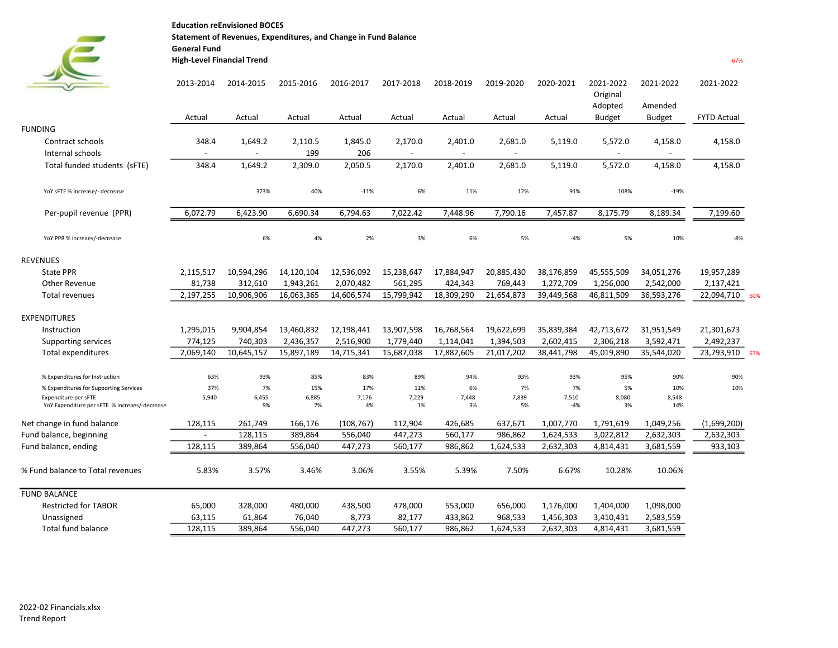Education reEnvisioned BOCES Statement of Revenues, Expenditures, and Change in Fund Balance General Fund

## High-Level Financial Trend 67%

**Contract** 

 $\epsilon$ 

|                                                                       | 2013-2014                         | 2014-2015                           | 2015-2016      | 2016-2017      | 2017-2018                           | 2018-2019         | 2019-2020                           | 2020-2021      | 2021-2022<br>Original<br>Adopted    | 2021-2022<br>Amended                | 2021-2022          |  |
|-----------------------------------------------------------------------|-----------------------------------|-------------------------------------|----------------|----------------|-------------------------------------|-------------------|-------------------------------------|----------------|-------------------------------------|-------------------------------------|--------------------|--|
|                                                                       | Actual                            | Actual                              | Actual         | Actual         | Actual                              | Actual            | Actual                              | Actual         | <b>Budget</b>                       | Budget                              | <b>FYTD Actual</b> |  |
| <b>FUNDING</b>                                                        |                                   |                                     |                |                |                                     |                   |                                     |                |                                     |                                     |                    |  |
| Contract schools<br>Internal schools                                  | 348.4<br>$\overline{\phantom{a}}$ | 1,649.2<br>$\overline{\phantom{a}}$ | 2,110.5<br>199 | 1,845.0<br>206 | 2,170.0<br>$\overline{\phantom{a}}$ | 2,401.0<br>$\sim$ | 2,681.0<br>$\overline{\phantom{a}}$ | 5,119.0        | 5,572.0<br>$\overline{\phantom{a}}$ | 4,158.0<br>$\overline{\phantom{a}}$ | 4,158.0            |  |
| Total funded students (SFTE)                                          | 348.4                             | 1,649.2                             | 2,309.0        | 2,050.5        | 2,170.0                             | 2,401.0           | 2,681.0                             | 5,119.0        | 5,572.0                             | 4,158.0                             | 4,158.0            |  |
|                                                                       |                                   |                                     |                |                |                                     |                   |                                     |                |                                     |                                     |                    |  |
| YoY sFTE % increase/- decrease                                        |                                   | 373%                                | 40%            | $-11%$         | 6%                                  | 11%               | 12%                                 | 91%            | 108%                                | $-19%$                              |                    |  |
| Per-pupil revenue (PPR)                                               | 6,072.79                          | 6,423.90                            | 6,690.34       | 6,794.63       | 7,022.42                            | 7,448.96          | 7,790.16                            | 7,457.87       | 8,175.79                            | 8,189.34                            | 7,199.60           |  |
| YoY PPR % increaes/-decrease                                          |                                   | 6%                                  | 4%             | 2%             | 3%                                  | 6%                | 5%                                  | $-4%$          | 5%                                  | 10%                                 | $-8%$              |  |
| <b>REVENUES</b>                                                       |                                   |                                     |                |                |                                     |                   |                                     |                |                                     |                                     |                    |  |
| <b>State PPR</b>                                                      | 2,115,517                         | 10,594,296                          | 14,120,104     | 12,536,092     | 15,238,647                          | 17,884,947        | 20,885,430                          | 38,176,859     | 45,555,509                          | 34,051,276                          | 19,957,289         |  |
| Other Revenue                                                         | 81,738                            | 312,610                             | 1,943,261      | 2,070,482      | 561,295                             | 424,343           | 769,443                             | 1,272,709      | 1,256,000                           | 2,542,000                           | 2,137,421          |  |
| Total revenues                                                        | 2,197,255                         | 10,906,906                          | 16,063,365     | 14,606,574     | 15,799,942                          | 18,309,290        | 21,654,873                          | 39,449,568     | 46,811,509                          | 36,593,276                          | 22,094,710<br>60%  |  |
| <b>EXPENDITURES</b>                                                   |                                   |                                     |                |                |                                     |                   |                                     |                |                                     |                                     |                    |  |
| Instruction                                                           | 1,295,015                         | 9,904,854                           | 13,460,832     | 12,198,441     | 13,907,598                          | 16,768,564        | 19,622,699                          | 35,839,384     | 42,713,672                          | 31,951,549                          | 21,301,673         |  |
| Supporting services                                                   | 774,125                           | 740,303                             | 2,436,357      | 2,516,900      | 1,779,440                           | 1,114,041         | 1,394,503                           | 2,602,415      | 2,306,218                           | 3,592,471                           | 2,492,237          |  |
| <b>Total expenditures</b>                                             | 2,069,140                         | 10,645,157                          | 15,897,189     | 14,715,341     | 15,687,038                          | 17,882,605        | 21,017,202                          | 38,441,798     | 45,019,890                          | 35,544,020                          | 23,793,910<br>67%  |  |
| % Expenditures for Instruction                                        | 63%                               | 93%                                 | 85%            | 83%            | 89%                                 | 94%               | 93%                                 | 93%            | 95%                                 | 90%                                 | 90%                |  |
| % Expenditures for Supporting Services                                | 37%                               | 7%                                  | 15%            | 17%            | 11%                                 | 6%                | 7%                                  | 7%             | 5%                                  | 10%                                 | 10%                |  |
| Expenditure per sFTE<br>YoY Expenditure per sFTE % increaes/-decrease | 5,940                             | 6,455<br>9%                         | 6,885<br>7%    | 7,176<br>4%    | 7,229<br>1%                         | 7,448<br>3%       | 7,839<br>5%                         | 7,510<br>$-4%$ | 8,080<br>3%                         | 8,548<br>14%                        |                    |  |
| Net change in fund balance                                            | 128,115                           | 261,749                             | 166,176        | (108, 767)     | 112,904                             | 426,685           | 637,671                             | 1,007,770      | 1,791,619                           | 1,049,256                           | (1,699,200)        |  |
| Fund balance, beginning                                               | $\overline{\phantom{a}}$          | 128,115                             | 389,864        | 556,040        | 447,273                             | 560,177           | 986,862                             | 1,624,533      | 3,022,812                           | 2,632,303                           | 2,632,303          |  |
| Fund balance, ending                                                  | 128,115                           | 389,864                             | 556,040        | 447,273        | 560,177                             | 986,862           | 1,624,533                           | 2,632,303      | 4,814,431                           | 3,681,559                           | 933,103            |  |
| % Fund balance to Total revenues                                      | 5.83%                             | 3.57%                               | 3.46%          | 3.06%          | 3.55%                               | 5.39%             | 7.50%                               | 6.67%          | 10.28%                              | 10.06%                              |                    |  |
| <b>FUND BALANCE</b>                                                   |                                   |                                     |                |                |                                     |                   |                                     |                |                                     |                                     |                    |  |
| <b>Restricted for TABOR</b>                                           | 65,000                            | 328,000                             | 480,000        | 438,500        | 478,000                             | 553,000           | 656,000                             | 1,176,000      | 1,404,000                           | 1,098,000                           |                    |  |
| Unassigned                                                            | 63,115                            | 61,864                              | 76,040         | 8,773          | 82,177                              | 433,862           | 968,533                             | 1,456,303      | 3,410,431                           | 2,583,559                           |                    |  |
| <b>Total fund balance</b>                                             | 128,115                           | 389,864                             | 556,040        | 447,273        | 560,177                             | 986,862           | 1,624,533                           | 2,632,303      | 4,814,431                           | 3,681,559                           |                    |  |